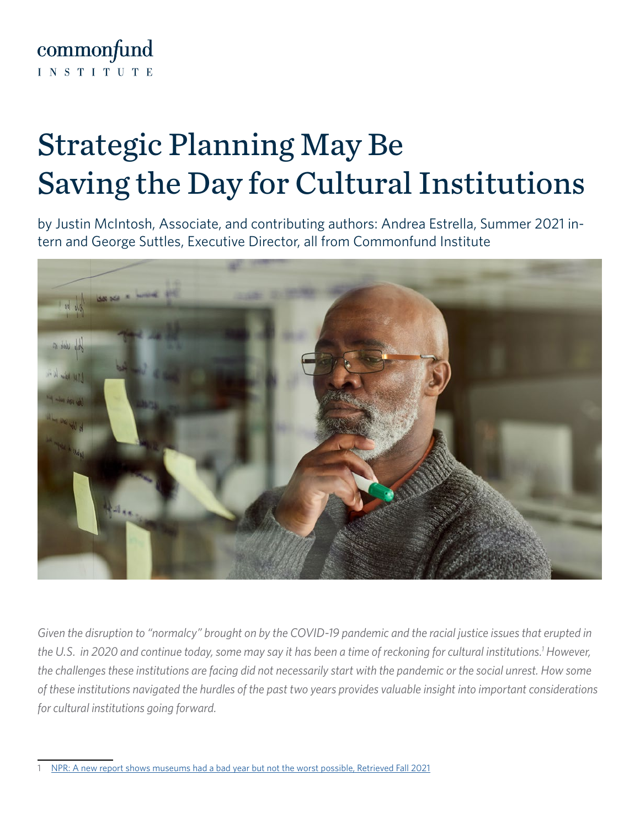

## Strategic Planning May Be Saving the Day for Cultural Institutions

by Justin McIntosh, Associate, and contributing authors: Andrea Estrella, Summer 2021 intern and George Suttles, Executive Director, all from Commonfund Institute



*Given the disruption to "normalcy" brought on by the COVID-19 pandemic and the racial justice issues that erupted in the U.S. in 2020 and continue today, some may say it has been a time of reckoning for cultural institutions.1 However, the challenges these institutions are facing did not necessarily start with the pandemic or the social unrest. How some of these institutions navigated the hurdles of the past two years provides valuable insight into important considerations for cultural institutions going forward.* 

<sup>1</sup> [NPR: A new report shows museums had a bad year but not the worst possible, Retrieved Fall 2021](https://www.npr.org/2021/06/01/1002077626/a-new-report-shows-museums-had-a-bad-year-but-not-the-worst-possible)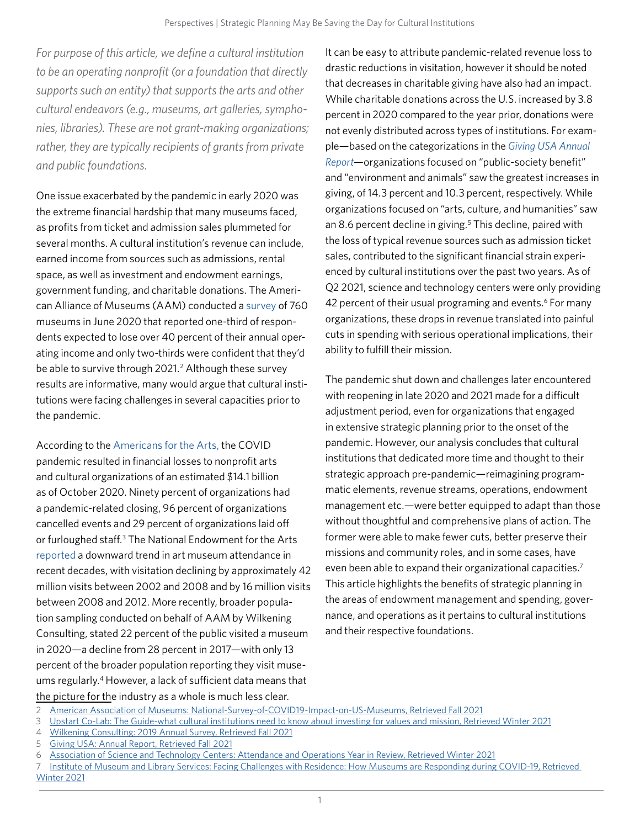*For purpose of this article, we define a cultural institution to be an operating nonprofit (or a foundation that directly supports such an entity) that supports the arts and other cultural endeavors (e.g., museums, art galleries, symphonies, libraries). These are not grant-making organizations; rather, they are typically recipients of grants from private and public foundations.* 

One issue exacerbated by the pandemic in early 2020 was the extreme financial hardship that many museums faced, as profits from ticket and admission sales plummeted for several months. A cultural institution's revenue can include, earned income from sources such as admissions, rental space, as well as investment and endowment earnings, government funding, and charitable donations. The American Alliance of Museums (AAM) conducted a [survey](https://www.aam-us.org/2020/07/22/a-snapshot-of-us-museums-response-to-the-covid-19-pandemic/) of 760 museums in June 2020 that reported one-third of respondents expected to lose over 40 percent of their annual operating income and only two-thirds were confident that they'd be able to survive through 2021.<sup>2</sup> Although these survey results are informative, many would argue that cultural institutions were facing challenges in several capacities prior to the pandemic.

According to the [Americans for the Arts,](https://www.americansforthearts.org/) the COVID pandemic resulted in financial losses to nonprofit arts and cultural organizations of an estimated \$14.1 billion as of October 2020. Ninety percent of organizations had a pandemic-related closing, 96 percent of organizations cancelled events and 29 percent of organizations laid off or furloughed staff.<sup>3</sup> The National Endowment for the Arts [reported](https://www.arts.gov/sites/default/files/2008-SPPA.pdf) a downward trend in art museum attendance in recent decades, with visitation declining by approximately 42 million visits between 2002 and 2008 and by 16 million visits between 2008 and 2012. More recently, broader population sampling conducted on behalf of AAM by Wilkening Consulting, stated 22 percent of the public visited a museum in 2020—a decline from 28 percent in 2017—with only 13 percent of the broader population reporting they visit museums regularly.4 However, a lack of sufficient data means that the picture for the industry as a whole is much less clear.

It can be easy to attribute pandemic-related revenue loss to drastic reductions in visitation, however it should be noted that decreases in charitable giving have also had an impact. While charitable donations across the U.S. increased by 3.8 percent in 2020 compared to the year prior, donations were not evenly distributed across types of institutions. For example—based on the categorizations in the *[Giving USA Annual](https://givingusa.org/)  [Report](https://givingusa.org/)*—organizations focused on "public-society benefit" and "environment and animals" saw the greatest increases in giving, of 14.3 percent and 10.3 percent, respectively. While organizations focused on "arts, culture, and humanities" saw an 8.6 percent decline in giving.<sup>5</sup> This decline, paired with the loss of typical revenue sources such as admission ticket sales, contributed to the significant financial strain experienced by cultural institutions over the past two years. As of Q2 2021, science and technology centers were only providing 42 percent of their usual programing and events.<sup>6</sup> For many organizations, these drops in revenue translated into painful cuts in spending with serious operational implications, their ability to fulfill their mission.

The pandemic shut down and challenges later encountered with reopening in late 2020 and 2021 made for a difficult adjustment period, even for organizations that engaged in extensive strategic planning prior to the onset of the pandemic. However, our analysis concludes that cultural institutions that dedicated more time and thought to their strategic approach pre-pandemic—reimagining programmatic elements, revenue streams, operations, endowment management etc.—were better equipped to adapt than those without thoughtful and comprehensive plans of action. The former were able to make fewer cuts, better preserve their missions and community roles, and in some cases, have even been able to expand their organizational capacities.<sup>7</sup> This article highlights the benefits of strategic planning in the areas of endowment management and spending, governance, and operations as it pertains to cultural institutions and their respective foundations.

<sup>2</sup> [American Association of Museums: National-Survey-of-COVID19-Impact-on-US-Museums, Retrieved Fall 2021](https://www.aam-us.org/wp-content/uploads/2020/07/2020_National-Survey-of-COVID19-Impact-on-US-Museums.pdf)

<sup>3</sup> [Upstart Co-Lab: The Guide-what cultural institutions need to know about investing for values and mission, Retrieved Winter 2021](https://upstartco-lab.org/wp-content/uploads/2020/12/Upstart-Co-Lab-The-Guide-Nov-2020-Final.pdf)

<sup>4</sup> [Wilkening Consulting: 2019 Annual Survey, Retrieved Fall 2021](http://www.wilkeningconsulting.com/datamuseum/category/2019-annual-survey)

<sup>5</sup> [Giving USA: Annual Report, Retrieved Fall 2021](https://store.givingusa.org/products/2021-annual-report?variant=39329211613263)

<sup>6</sup> [Association of Science and Technology Centers: Attendance and Operations Year in Review, Retrieved Winter 2021](https://www.astc.org/wp-content/uploads/2021/09/ASTC-Attendance-and-Operations-Year-in-Review.pdf)

Institute of Museum and Library Services: Facing Challenges with Residence: How Museums are Responding during COVID-19, Retrieved [Winter 2021](https://www.imls.gov/blog/2020/04/facing-challenge-resilience-how-museums-are-responding-during-covid-19)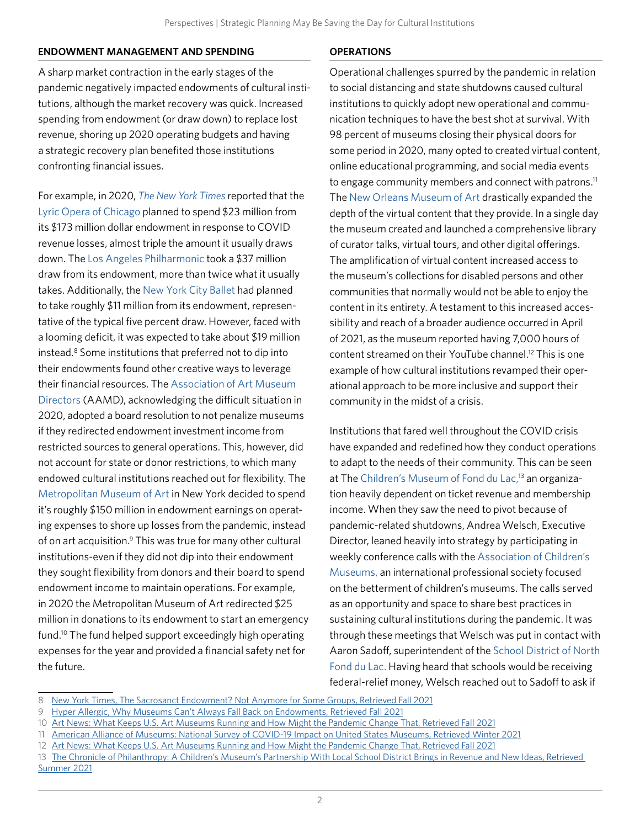#### **ENDOWMENT MANAGEMENT AND SPENDING**

A sharp market contraction in the early stages of the pandemic negatively impacted endowments of cultural institutions, although the market recovery was quick. Increased spending from endowment (or draw down) to replace lost revenue, shoring up 2020 operating budgets and having a strategic recovery plan benefited those institutions confronting financial issues.

For example, in 2020, *[The New York Times](https://www.nytimes.com/2020/06/02/arts/endowments-coronavirus.html?searchResultPosition=5)* reported that the [Lyric Opera of Chicago](https://www.lyricopera.org/) planned to spend \$23 million from its \$173 million dollar endowment in response to COVID revenue losses, almost triple the amount it usually draws down. The [Los Angeles Philharmonic](https://www.laphil.com/) took a \$37 million draw from its endowment, more than twice what it usually takes. Additionally, the [New York City Ballet](https://www.nycballet.com/) had planned to take roughly \$11 million from its endowment, representative of the typical five percent draw. However, faced with a looming deficit, it was expected to take about \$19 million instead.8 Some institutions that preferred not to dip into their endowments found other creative ways to leverage their financial resources. The [Association of Art Museum](https://aamd.org/)  [Directors](https://aamd.org/) (AAMD), acknowledging the difficult situation in 2020, adopted a board resolution to not penalize museums if they redirected endowment investment income from restricted sources to general operations. This, however, did not account for state or donor restrictions, to which many endowed cultural institutions reached out for flexibility. The [Metropolitan Museum of Art](https://www.metmuseum.org/) in New York decided to spend it's roughly \$150 million in endowment earnings on operating expenses to shore up losses from the pandemic, instead of on art acquisition.<sup>9</sup> This was true for many other cultural institutions-even if they did not dip into their endowment they sought flexibility from donors and their board to spend endowment income to maintain operations. For example, in 2020 the Metropolitan Museum of Art redirected \$25 million in donations to its endowment to start an emergency fund.10 The fund helped support exceedingly high operating expenses for the year and provided a financial safety net for the future.

#### **OPERATIONS**

Operational challenges spurred by the pandemic in relation to social distancing and state shutdowns caused cultural institutions to quickly adopt new operational and communication techniques to have the best shot at survival. With 98 percent of museums closing their physical doors for some period in 2020, many opted to created virtual content, online educational programming, and social media events to engage community members and connect with patrons.<sup>11</sup> The [New Orleans Museum of Art](https://noma.org/) drastically expanded the depth of the virtual content that they provide. In a single day the museum created and launched a comprehensive library of curator talks, virtual tours, and other digital offerings. The amplification of virtual content increased access to the museum's collections for disabled persons and other communities that normally would not be able to enjoy the content in its entirety. A testament to this increased accessibility and reach of a broader audience occurred in April of 2021, as the museum reported having 7,000 hours of content streamed on their YouTube channel.12 This is one example of how cultural institutions revamped their operational approach to be more inclusive and support their community in the midst of a crisis.

Institutions that fared well throughout the COVID crisis have expanded and redefined how they conduct operations to adapt to the needs of their community. This can be seen at The [Children's Museum of Fond du Lac](https://www.cmfdl.org/),<sup>13</sup> an organization heavily dependent on ticket revenue and membership income. When they saw the need to pivot because of pandemic-related shutdowns, Andrea Welsch, Executive Director, leaned heavily into strategy by participating in weekly conference calls with the [Association of Children's](https://childrensmuseums.org/)  [Museums,](https://childrensmuseums.org/) an international professional society focused on the betterment of children's museums. The calls served as an opportunity and space to share best practices in sustaining cultural institutions during the pandemic. It was through these meetings that Welsch was put in contact with Aaron Sadoff, superintendent of the [School District of North](http://www.nfdlschools.org/)  [Fond du Lac.](http://www.nfdlschools.org/) Having heard that schools would be receiving federal-relief money, Welsch reached out to Sadoff to ask if

- 11 [American Alliance of Museums: National Survey of COVID-19 Impact on United States Museums, Retrieved Winter 2021](https://www.aam-us.org/wp-content/uploads/2020/07/2020_National-Survey-of-COVID19-Impact-on-US-Museums.pdf)
- 12 [Art News: What Keeps U.S. Art Museums Running and How Might the Pandemic Change That, Retrieved Fall 2021](https://www.artnews.com/art-news/news/united-states-art-museum-financing-1234584930/)

<sup>8</sup> [New York Times, The Sacrosanct Endowment? Not Anymore for Some Groups, Retrieved Fall 2021](https://www.nytimes.com/2020/06/02/arts/endowments-coronavirus.html?searchResultPosition=5)

<sup>9</sup> [Hyper Allergic, Why Museums Can't Always Fall Back on Endowments, Retrieved Fall 2021](https://hyperallergic.com/556133/why-museums-cant-always-fall-back-on-endowments/)

<sup>10</sup> [Art News: What Keeps U.S. Art Museums Running and How Might the Pandemic Change That, Retrieved Fall 2021](https://www.artnews.com/art-news/news/united-states-art-museum-financing-1234584930/)

<sup>13</sup> [The Chronicle of Philanthropy: A Children's Museum's Partnership With Local School District Brings in Revenue and New Ideas, Retrieved](https://www.philanthropy.com/article/a-childrens-museums-partnership-with-local-school-district-brings-in-revenue-and-new-ideas)  [Summer 2021](https://www.philanthropy.com/article/a-childrens-museums-partnership-with-local-school-district-brings-in-revenue-and-new-ideas)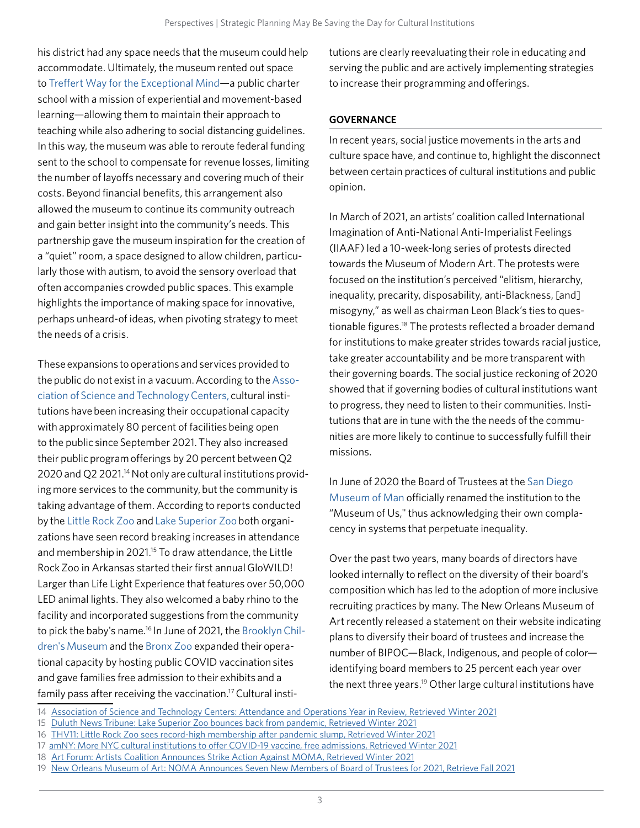his district had any space needs that the museum could help accommodate. Ultimately, the museum rented out space to [Treffert Way for the Exceptional Mind](https://www.treffertway.com/)—a public charter school with a mission of experiential and movement-based learning—allowing them to maintain their approach to teaching while also adhering to social distancing guidelines. In this way, the museum was able to reroute federal funding sent to the school to compensate for revenue losses, limiting the number of layoffs necessary and covering much of their costs. Beyond financial benefits, this arrangement also allowed the museum to continue its community outreach and gain better insight into the community's needs. This partnership gave the museum inspiration for the creation of a "quiet" room, a space designed to allow children, particularly those with autism, to avoid the sensory overload that often accompanies crowded public spaces. This example highlights the importance of making space for innovative, perhaps unheard-of ideas, when pivoting strategy to meet the needs of a crisis.

These expansions to operations and services provided to the public do not exist in a vacuum. According to the [Asso](https://www.astc.org/)[ciation of Science and Technology Centers,](https://www.astc.org/) cultural institutions have been increasing their occupational capacity with approximately 80 percent of facilities being open to the public since September 2021. They also increased their public program offerings by 20 percent between Q2 2020 and Q2 2021.14 Not only are cultural institutions providing more services to the community, but the community is taking advantage of them. According to reports conducted by the [Little Rock Zoo](https://www.littlerockzoo.com/) and [Lake Superior Zoo](https://lszooduluth.org/) both organizations have seen record breaking increases in attendance and membership in 2021.<sup>15</sup> To draw attendance, the Little [Rock Zoo](https://www.littlerockzoo.com/) in Arkansas started their first annual GloWILD! Larger than Life Light Experience that features over 50,000 LED animal lights. They also welcomed a baby rhino to the facility and incorporated suggestions from the community to pick the baby's name.<sup>16</sup> In June of 2021, the [Brooklyn Chil](https://www.brooklynkids.org/)[dren's Museum](https://www.brooklynkids.org/) and the [Bronx Zoo](https://bronxzoo.com/) expanded their operational capacity by hosting public COVID vaccination sites and gave families free admission to their exhibits and a family pass after receiving the vaccination.17 Cultural institutions are clearly reevaluating their role in educating and serving the public and are actively implementing strategies to increase their programming and offerings.

#### **GOVERNANCE**

In recent years, social justice movements in the arts and culture space have, and continue to, highlight the disconnect between certain practices of cultural institutions and public opinion.

In March of 2021, an artists' coalition called International Imagination of Anti-National Anti-Imperialist Feelings (IIAAF) led a 10-week-long series of protests directed towards the Museum of Modern Art. The protests were focused on the institution's perceived "elitism, hierarchy, inequality, precarity, disposability, anti-Blackness, [and] misogyny," as well as chairman Leon Black's ties to questionable figures.18 The protests reflected a broader demand for institutions to make greater strides towards racial justice, take greater accountability and be more transparent with their governing boards. The social justice reckoning of 2020 showed that if governing bodies of cultural institutions want to progress, they need to listen to their communities. Institutions that are in tune with the the needs of the communities are more likely to continue to successfully fulfill their missions.

In June of 2020 the Board of Trustees at the [San Diego](https://museumofus.org/)  [Museum of Man](https://museumofus.org/) officially renamed the institution to the "Museum of Us," thus acknowledging their own complacency in systems that perpetuate inequality.

Over the past two years, many boards of directors have looked internally to reflect on the diversity of their board's composition which has led to the adoption of more inclusive recruiting practices by many. The New Orleans Museum of Art recently released a statement on their website indicating plans to diversify their board of trustees and increase the number of BIPOC—Black, Indigenous, and people of color identifying board members to 25 percent each year over the next three years.19 Other large cultural institutions have

<sup>14</sup> [Association of Science and Technology Centers: Attendance and Operations Year in Review, Retrieved Winter 2021](https://www.astc.org/wp-content/uploads/2021/09/ASTC-Attendance-and-Operations-Year-in-Review.pdf)

<sup>15</sup> [Duluth News Tribune: Lake Superior Zoo bounces back from pandemic, Retrieved Winter 2021](https://www.duluthnewstribune.com/business/lake-superior-zoo-bounces-back-from-pandemic)

<sup>16</sup> [THV11: Little Rock Zoo sees record-high membership after pandemic slump, Retrieved Winter 2021](https://www.thv11.com/article/news/local/little-rock-zoo-record-high-membership-pandemic/91-f659fee9-9558-4983-8daf-6eb24c370d67)

<sup>17</sup> [amNY: More NYC cultural institutions to offer COVID-19 vaccine, free admissions, Retrieved Winter 2021](https://www.amny.com/news/more-cultural-institutions-to-offer-covid-vaccine-free-admissions/)

<sup>18</sup> [Art Forum: Artists Coalition Announces Strike Action Against MOMA, Retrieved Winter 2021](https://www.artforum.com/news/artists-coalition-announces-strike-action-against-moma-85349)

<sup>19</sup> [New Orleans Museum of Art: NOMA Announces Seven New Members of Board of Trustees for 2021, Retrieve Fall 2021](https://noma.org/noma-announces-seven-new-members-of-board-of-trustees-for-2021/)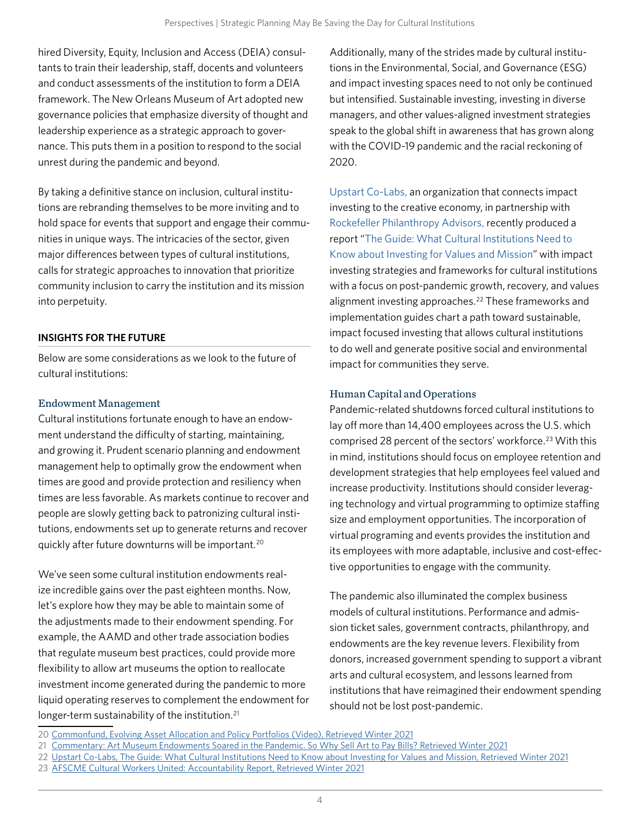hired Diversity, Equity, Inclusion and Access (DEIA) consultants to train their leadership, staff, docents and volunteers and conduct assessments of the institution to form a DEIA framework. The New Orleans Museum of Art adopted new governance policies that emphasize diversity of thought and leadership experience as a strategic approach to governance. This puts them in a position to respond to the social unrest during the pandemic and beyond.

By taking a definitive stance on inclusion, cultural institutions are rebranding themselves to be more inviting and to hold space for events that support and engage their communities in unique ways. The intricacies of the sector, given major differences between types of cultural institutions, calls for strategic approaches to innovation that prioritize community inclusion to carry the institution and its mission into perpetuity.

#### **INSIGHTS FOR THE FUTURE**

Below are some considerations as we look to the future of cultural institutions:

#### Endowment Management

Cultural institutions fortunate enough to have an endowment understand the difficulty of starting, maintaining, and growing it. Prudent scenario planning and endowment management help to optimally grow the endowment when times are good and provide protection and resiliency when times are less favorable. As markets continue to recover and people are slowly getting back to patronizing cultural institutions, endowments set up to generate returns and recover quickly after future downturns will be important.<sup>20</sup>

We've seen some cultural institution endowments realize incredible gains over the past eighteen months. Now, let's explore how they may be able to maintain some of the adjustments made to their endowment spending. For example, the AAMD and other trade association bodies that regulate museum best practices, could provide more flexibility to allow art museums the option to reallocate investment income generated during the pandemic to more liquid operating reserves to complement the endowment for longer-term sustainability of the institution.<sup>21</sup>

Additionally, many of the strides made by cultural institutions in the Environmental, Social, and Governance (ESG) and impact investing spaces need to not only be continued but intensified. Sustainable investing, investing in diverse managers, and other values-aligned investment strategies speak to the global shift in awareness that has grown along with the COVID-19 pandemic and the racial reckoning of 2020.

[Upstart Co-Labs,](https://upstartco-lab.org/) an organization that connects impact investing to the creative economy, in partnership with [Rockefeller Philanthropy Advisors,](https://www.rockpa.org/) recently produced a report "[The Guide: What Cultural Institutions Need to](https://upstartco-lab.org/wp-content/uploads/2020/12/Upstart-Co-Lab-The-Guide-Nov-2020-Final.pdf)  [Know about Investing for Values and Mission](https://upstartco-lab.org/wp-content/uploads/2020/12/Upstart-Co-Lab-The-Guide-Nov-2020-Final.pdf)" with impact investing strategies and frameworks for cultural institutions with a focus on post-pandemic growth, recovery, and values alignment investing approaches.<sup>22</sup> These frameworks and implementation guides chart a path toward sustainable, impact focused investing that allows cultural institutions to do well and generate positive social and environmental impact for communities they serve.

#### Human Capital and Operations

Pandemic-related shutdowns forced cultural institutions to lay off more than 14,400 employees across the U.S. which comprised 28 percent of the sectors' workforce.<sup>23</sup> With this in mind, institutions should focus on employee retention and development strategies that help employees feel valued and increase productivity. Institutions should consider leveraging technology and virtual programming to optimize staffing size and employment opportunities. The incorporation of virtual programing and events provides the institution and its employees with more adaptable, inclusive and cost-effective opportunities to engage with the community.

The pandemic also illuminated the complex business models of cultural institutions. Performance and admission ticket sales, government contracts, philanthropy, and endowments are the key revenue levers. Flexibility from donors, increased government spending to support a vibrant arts and cultural ecosystem, and lessons learned from institutions that have reimagined their endowment spending should not be lost post-pandemic.

21 [Commentary: Art Museum Endowments Soared in the Pandemic. So Why Sell Art to Pay Bills? Retrieved Winter 2021](https://www.latimes.com/entertainment-arts/story/2021-06-08/art-museums-endowments-covid-pandemic-dividend)

<sup>20</sup> [Commonfund, Evolving Asset Allocation and Policy Portfolios \(Video\), Retrieved Winter 2021](https://www.commonfund.org/research-center/videos/risk-drawdown-recovery)

<sup>22</sup> [Upstart Co-Labs, The Guide: What Cultural Institutions Need to Know about Investing for Values and Mission, Retrieved Winter 2021](https://upstartco-lab.org/what-cultural-institutions-need-to-know-about-imp-inv/)

<sup>23</sup> [AFSCME Cultural Workers United: Accountability Report, Retrieved Winter 2021](https://report.culturalworkersunited.org/)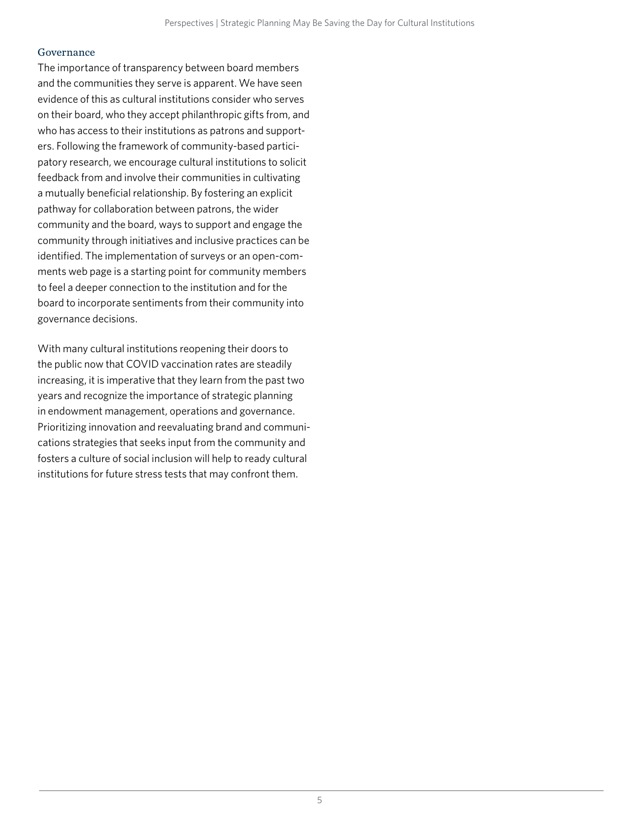#### Governance

The importance of transparency between board members and the communities they serve is apparent. We have seen evidence of this as cultural institutions consider who serves on their board, who they accept philanthropic gifts from, and who has access to their institutions as patrons and supporters. Following the framework of community-based participatory research, we encourage cultural institutions to solicit feedback from and involve their communities in cultivating a mutually beneficial relationship. By fostering an explicit pathway for collaboration between patrons, the wider community and the board, ways to support and engage the community through initiatives and inclusive practices can be identified. The implementation of surveys or an open-comments web page is a starting point for community members to feel a deeper connection to the institution and for the board to incorporate sentiments from their community into governance decisions.

With many cultural institutions reopening their doors to the public now that COVID vaccination rates are steadily increasing, it is imperative that they learn from the past two years and recognize the importance of strategic planning in endowment management, operations and governance. Prioritizing innovation and reevaluating brand and communications strategies that seeks input from the community and fosters a culture of social inclusion will help to ready cultural institutions for future stress tests that may confront them.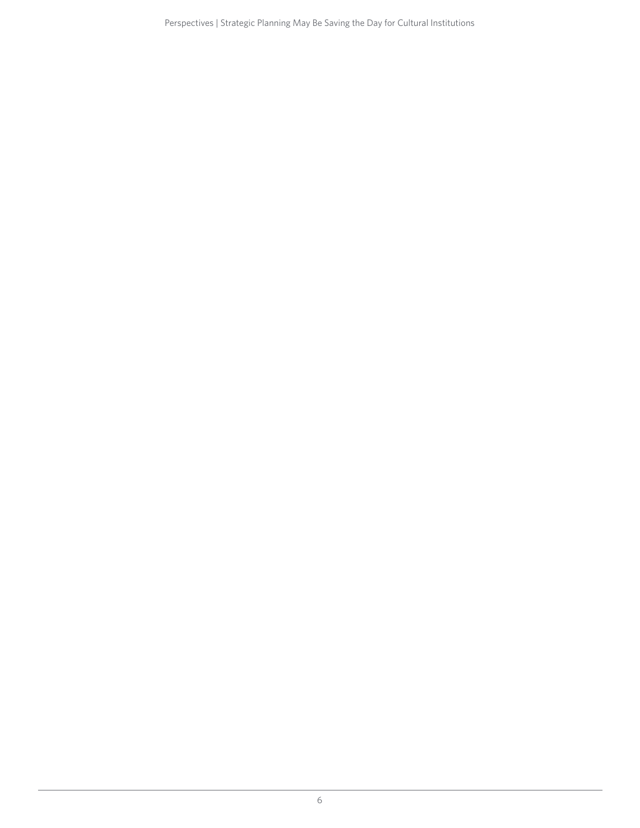Perspectives | Strategic Planning May Be Saving the Day for Cultural Institutions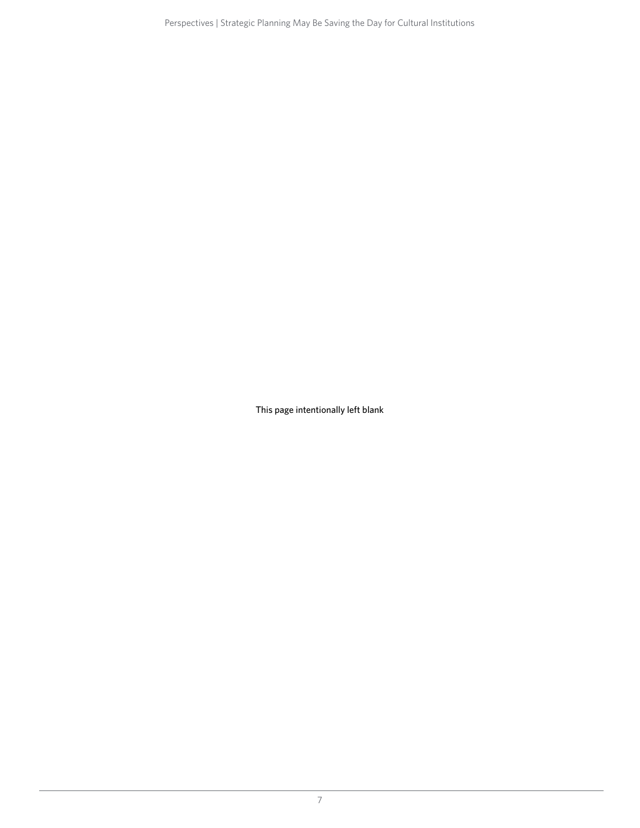Perspectives | Strategic Planning May Be Saving the Day for Cultural Institutions

This page intentionally left blank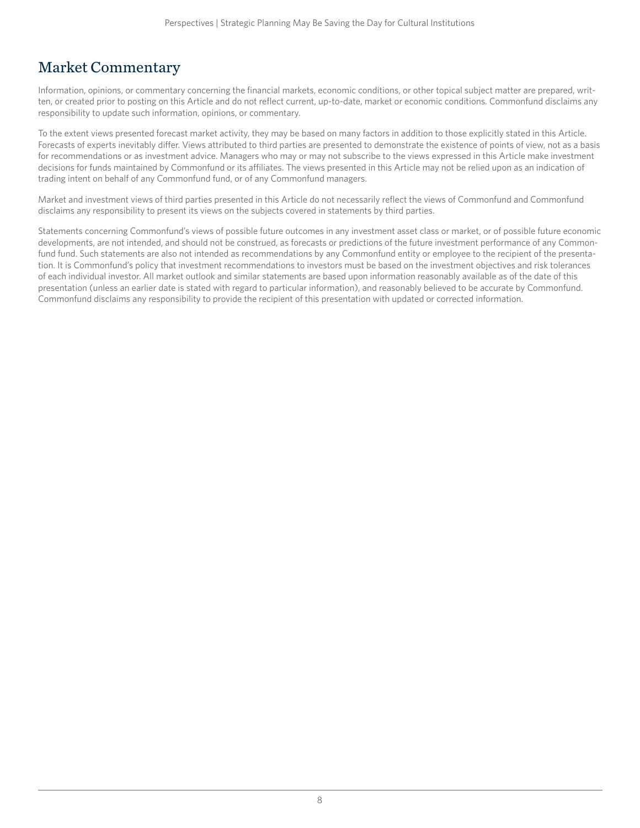### Market Commentary

Information, opinions, or commentary concerning the financial markets, economic conditions, or other topical subject matter are prepared, written, or created prior to posting on this Article and do not reflect current, up-to-date, market or economic conditions. Commonfund disclaims any responsibility to update such information, opinions, or commentary.

To the extent views presented forecast market activity, they may be based on many factors in addition to those explicitly stated in this Article. Forecasts of experts inevitably differ. Views attributed to third parties are presented to demonstrate the existence of points of view, not as a basis for recommendations or as investment advice. Managers who may or may not subscribe to the views expressed in this Article make investment decisions for funds maintained by Commonfund or its affiliates. The views presented in this Article may not be relied upon as an indication of trading intent on behalf of any Commonfund fund, or of any Commonfund managers.

Market and investment views of third parties presented in this Article do not necessarily reflect the views of Commonfund and Commonfund disclaims any responsibility to present its views on the subjects covered in statements by third parties.

Statements concerning Commonfund's views of possible future outcomes in any investment asset class or market, or of possible future economic developments, are not intended, and should not be construed, as forecasts or predictions of the future investment performance of any Commonfund fund. Such statements are also not intended as recommendations by any Commonfund entity or employee to the recipient of the presentation. It is Commonfund's policy that investment recommendations to investors must be based on the investment objectives and risk tolerances of each individual investor. All market outlook and similar statements are based upon information reasonably available as of the date of this presentation (unless an earlier date is stated with regard to particular information), and reasonably believed to be accurate by Commonfund. Commonfund disclaims any responsibility to provide the recipient of this presentation with updated or corrected information.